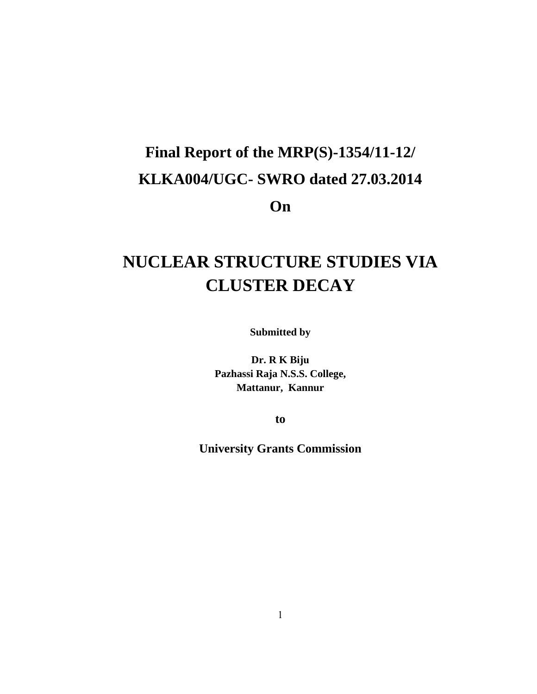# **Final Report of the MRP(S)-1354/11-12/ KLKA004/UGC- SWRO dated 27.03.2014 On**

## **NUCLEAR STRUCTURE STUDIES VIA CLUSTER DECAY**

**Submitted by**

**Dr. R K Biju Pazhassi Raja N.S.S. College, Mattanur, Kannur**

**to**

**University Grants Commission**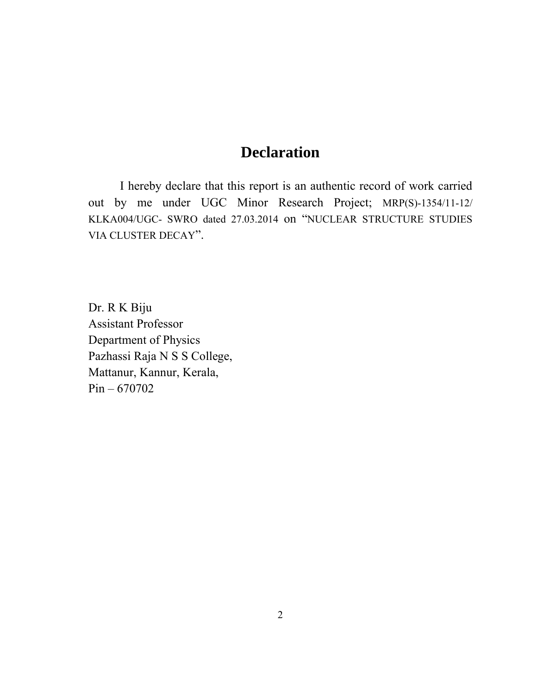### **Declaration**

I hereby declare that this report is an authentic record of work carried out by me under UGC Minor Research Project; MRP(S)-1354/11-12/ KLKA004/UGC- SWRO dated 27.03.2014 on "NUCLEAR STRUCTURE STUDIES VIA CLUSTER DECAY".

Dr. R K Biju Assistant Professor Department of Physics Pazhassi Raja N S S College, Mattanur, Kannur, Kerala, Pin – 670702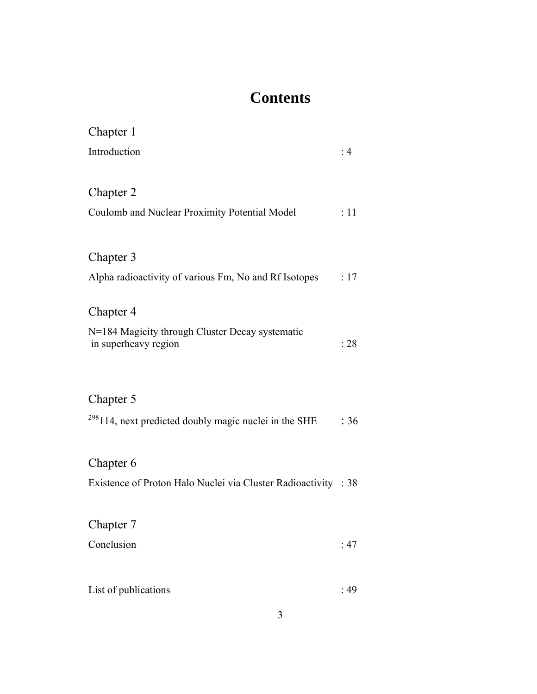### **Contents**

| Chapter 1                                                               |      |
|-------------------------------------------------------------------------|------|
| Introduction                                                            | : 4  |
| Chapter 2                                                               |      |
| Coulomb and Nuclear Proximity Potential Model                           | : 11 |
| Chapter 3                                                               |      |
| Alpha radioactivity of various Fm, No and Rf Isotopes                   | :17  |
| Chapter 4                                                               |      |
| N=184 Magicity through Cluster Decay systematic<br>in superheavy region | : 28 |
| Chapter 5                                                               |      |
| $^{298}$ 114, next predicted doubly magic nuclei in the SHE             | :36  |
| Chapter 6                                                               |      |
| Existence of Proton Halo Nuclei via Cluster Radioactivity : 38          |      |
| Chapter 7                                                               |      |
| Conclusion                                                              | :47  |
|                                                                         |      |
| List of publications                                                    | :49  |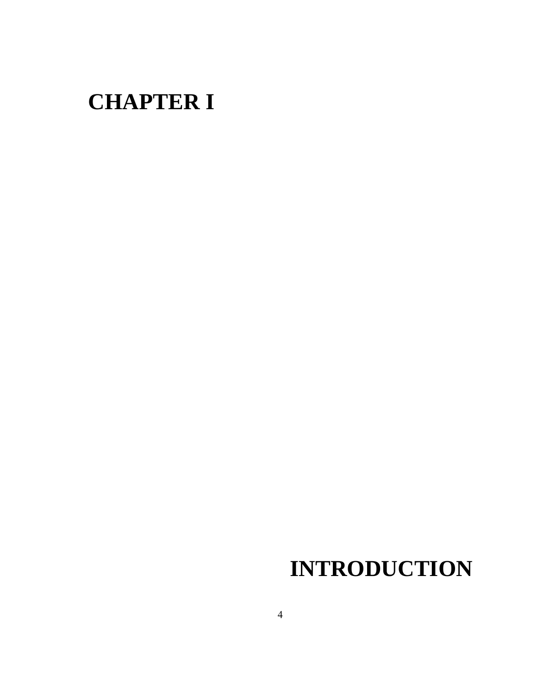# **CHAPTER I**

# **INTRODUCTION**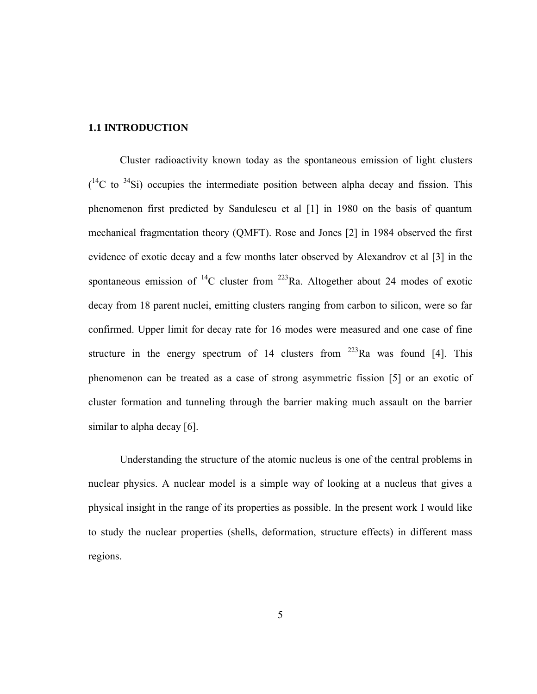### **1.1 INTRODUCTION**

Cluster radioactivity known today as the spontaneous emission of light clusters  $($ <sup>14</sup>C to <sup>34</sup>Si) occupies the intermediate position between alpha decay and fission. This phenomenon first predicted by Sandulescu et al [1] in 1980 on the basis of quantum mechanical fragmentation theory (QMFT). Rose and Jones [2] in 1984 observed the first evidence of exotic decay and a few months later observed by Alexandrov et al [3] in the spontaneous emission of  ${}^{14}C$  cluster from  ${}^{223}Ra$ . Altogether about 24 modes of exotic decay from 18 parent nuclei, emitting clusters ranging from carbon to silicon, were so far confirmed. Upper limit for decay rate for 16 modes were measured and one case of fine structure in the energy spectrum of 14 clusters from  $^{223}$ Ra was found [4]. This phenomenon can be treated as a case of strong asymmetric fission [5] or an exotic of cluster formation and tunneling through the barrier making much assault on the barrier similar to alpha decay [6].

Understanding the structure of the atomic nucleus is one of the central problems in nuclear physics. A nuclear model is a simple way of looking at a nucleus that gives a physical insight in the range of its properties as possible. In the present work I would like to study the nuclear properties (shells, deformation, structure effects) in different mass regions.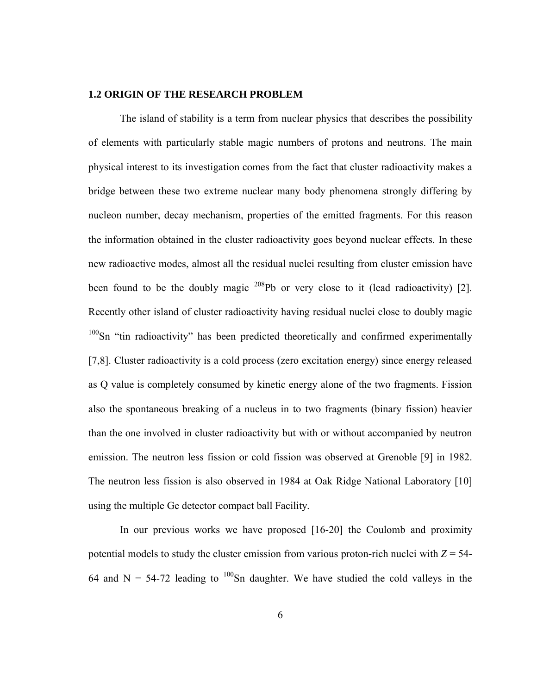#### **1.2 ORIGIN OF THE RESEARCH PROBLEM**

The island of stability is a term from nuclear physics that describes the possibility of elements with particularly stable magic numbers of protons and neutrons. The main physical interest to its investigation comes from the fact that cluster radioactivity makes a bridge between these two extreme nuclear many body phenomena strongly differing by nucleon number, decay mechanism, properties of the emitted fragments. For this reason the information obtained in the cluster radioactivity goes beyond nuclear effects. In these new radioactive modes, almost all the residual nuclei resulting from cluster emission have been found to be the doubly magic  $208Pb$  or very close to it (lead radioactivity) [2]. Recently other island of cluster radioactivity having residual nuclei close to doubly magic <sup>100</sup>Sn "tin radioactivity" has been predicted theoretically and confirmed experimentally [7,8]. Cluster radioactivity is a cold process (zero excitation energy) since energy released as Q value is completely consumed by kinetic energy alone of the two fragments. Fission also the spontaneous breaking of a nucleus in to two fragments (binary fission) heavier than the one involved in cluster radioactivity but with or without accompanied by neutron emission. The neutron less fission or cold fission was observed at Grenoble [9] in 1982. The neutron less fission is also observed in 1984 at Oak Ridge National Laboratory [10] using the multiple Ge detector compact ball Facility.

In our previous works we have proposed [16-20] the Coulomb and proximity potential models to study the cluster emission from various proton-rich nuclei with  $Z = 54$ -64 and N = 54-72 leading to  $100$ Sn daughter. We have studied the cold valleys in the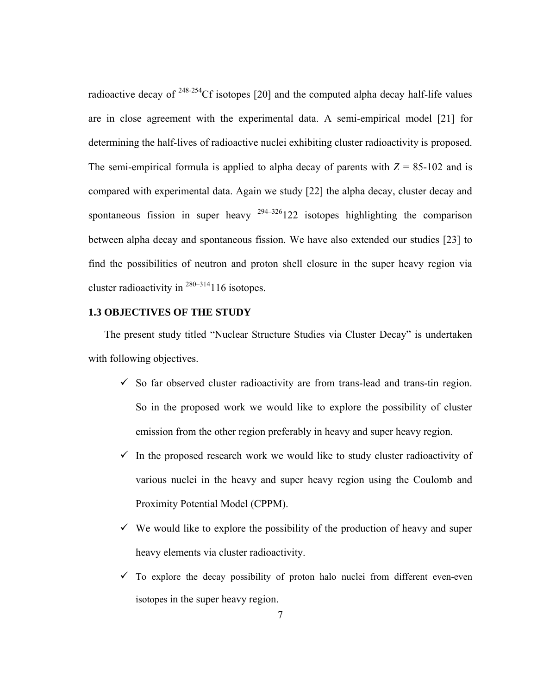radioactive decay of  $248-254$ Cf isotopes [20] and the computed alpha decay half-life values are in close agreement with the experimental data. A semi-empirical model [21] for determining the half-lives of radioactive nuclei exhibiting cluster radioactivity is proposed. The semi-empirical formula is applied to alpha decay of parents with  $Z = 85-102$  and is compared with experimental data. Again we study [22] the alpha decay, cluster decay and spontaneous fission in super heavy  $294-326122$  isotopes highlighting the comparison between alpha decay and spontaneous fission. We have also extended our studies [23] to find the possibilities of neutron and proton shell closure in the super heavy region via cluster radioactivity in  $280-314$  116 isotopes.

### **1.3 OBJECTIVES OF THE STUDY**

The present study titled "Nuclear Structure Studies via Cluster Decay" is undertaken with following objectives.

- $\checkmark$  So far observed cluster radioactivity are from trans-lead and trans-tin region. So in the proposed work we would like to explore the possibility of cluster emission from the other region preferably in heavy and super heavy region.
- $\checkmark$  In the proposed research work we would like to study cluster radioactivity of various nuclei in the heavy and super heavy region using the Coulomb and Proximity Potential Model (CPPM).
- $\checkmark$  We would like to explore the possibility of the production of heavy and super heavy elements via cluster radioactivity.
- $\checkmark$  To explore the decay possibility of proton halo nuclei from different even-even isotopes in the super heavy region.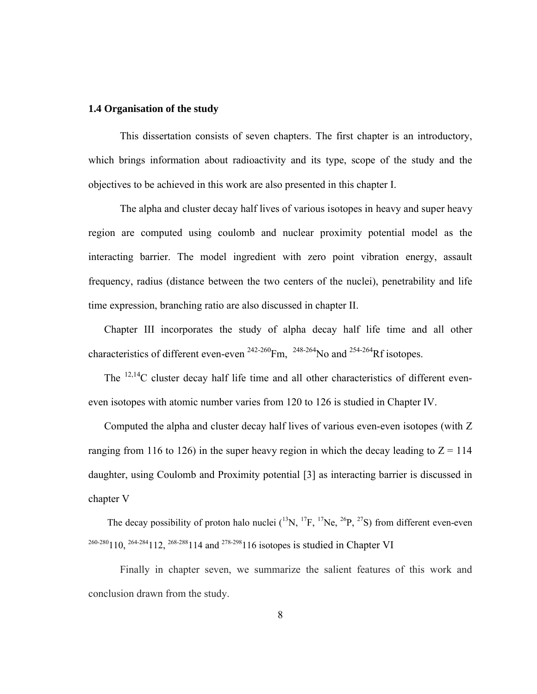#### **1.4 Organisation of the study**

This dissertation consists of seven chapters. The first chapter is an introductory, which brings information about radioactivity and its type, scope of the study and the objectives to be achieved in this work are also presented in this chapter I.

The alpha and cluster decay half lives of various isotopes in heavy and super heavy region are computed using coulomb and nuclear proximity potential model as the interacting barrier. The model ingredient with zero point vibration energy, assault frequency, radius (distance between the two centers of the nuclei), penetrability and life time expression, branching ratio are also discussed in chapter II.

Chapter III incorporates the study of alpha decay half life time and all other characteristics of different even-even  $^{242-260}$ Fm,  $^{248-264}$ No and  $^{254-264}$ Rf isotopes.

The  $12,14$ C cluster decay half life time and all other characteristics of different eveneven isotopes with atomic number varies from 120 to 126 is studied in Chapter IV.

Computed the alpha and cluster decay half lives of various even-even isotopes (with Z ranging from 116 to 126) in the super heavy region in which the decay leading to  $Z = 114$ daughter, using Coulomb and Proximity potential [3] as interacting barrier is discussed in chapter V

The decay possibility of proton halo nuclei  $(^{13}N, ^{17}F, ^{17}Ne, ^{26}P, ^{27}S)$  from different even-even  $^{260-280}$ 110,  $^{264-284}$ 112,  $^{268-288}$ 114 and  $^{278-298}$ 116 isotopes is studied in Chapter VI

Finally in chapter seven, we summarize the salient features of this work and conclusion drawn from the study.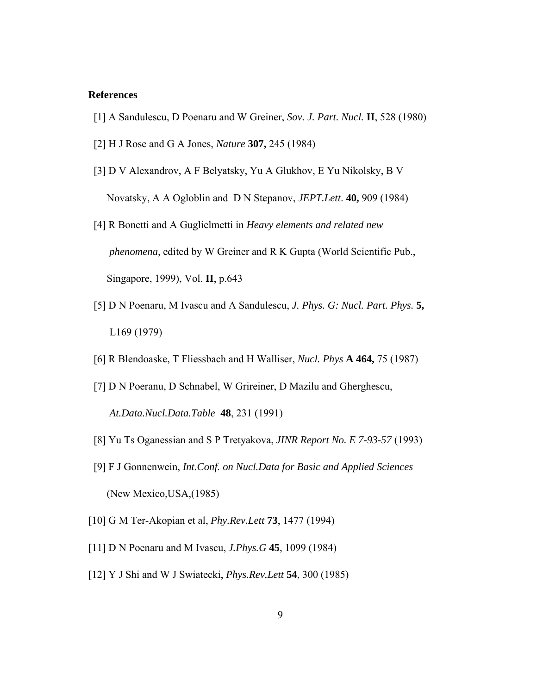#### **References**

- [1] A Sandulescu, D Poenaru and W Greiner, *Sov. J. Part. Nucl.* **II**, 528 (1980)
- [2] H J Rose and G A Jones, *Nature* **307,** 245 (1984)
- [3] D V Alexandrov, A F Belyatsky, Yu A Glukhov, E Yu Nikolsky, B V Novatsky, A A Ogloblin and D N Stepanov, *JEPT.Lett*. **40,** 909 (1984)
- [4] R Bonetti and A Guglielmetti in *Heavy elements and related new phenomena,* edited by W Greiner and R K Gupta (World Scientific Pub., Singapore, 1999), Vol. **II**, p.643
- [5] D N Poenaru, M Ivascu and A Sandulescu, *J. Phys. G: Nucl. Part. Phys.* **5,** L169 (1979)
- [6] R Blendoaske, T Fliessbach and H Walliser, *Nucl. Phys* **A 464,** 75 (1987)
- [7] D N Poeranu, D Schnabel, W Grireiner, D Mazilu and Gherghescu, *At.Data.Nucl.Data.Table* **48**, 231 (1991)
- [8] Yu Ts Oganessian and S P Tretyakova, *JINR Report No. E 7-93-57* (1993)
- [9] F J Gonnenwein, *Int.Conf. on Nucl.Data for Basic and Applied Sciences* (New Mexico,USA,(1985)
- [10] G M Ter-Akopian et al, *Phy.Rev.Lett* **73**, 1477 (1994)
- [11] D N Poenaru and M Ivascu, *J.Phys.G* **45**, 1099 (1984)
- [12] Y J Shi and W J Swiatecki, *Phys.Rev.Lett* **54**, 300 (1985)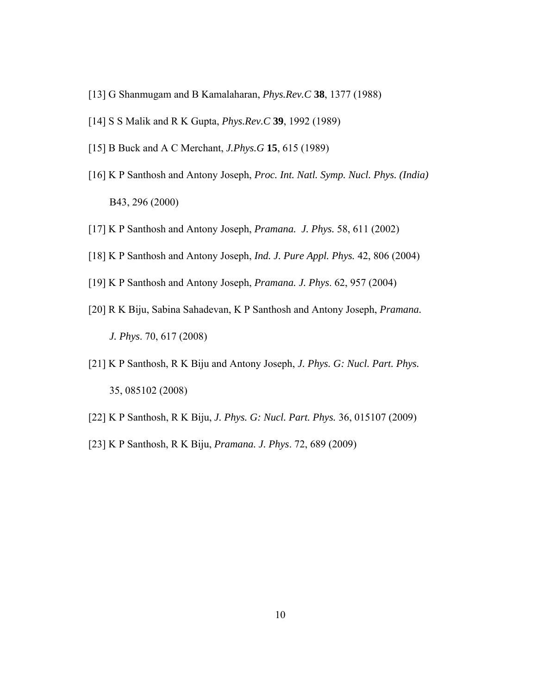- [13] G Shanmugam and B Kamalaharan, *Phys.Rev.C* **38**, 1377 (1988)
- [14] S S Malik and R K Gupta, *Phys.Rev.C* **39**, 1992 (1989)
- [15] B Buck and A C Merchant, *J.Phys.G* **15**, 615 (1989)
- [16] K P Santhosh and Antony Joseph, *Proc. Int. Natl. Symp. Nucl. Phys. (India)*  B43, 296 (2000)
- [17] K P Santhosh and Antony Joseph, *Pramana. J. Phys.* 58, 611 (2002)
- [18] K P Santhosh and Antony Joseph, *Ind. J. Pure Appl. Phys.* 42, 806 (2004)
- [19] K P Santhosh and Antony Joseph, *Pramana. J. Phys*. 62, 957 (2004)
- [20] R K Biju, Sabina Sahadevan, K P Santhosh and Antony Joseph, *Pramana. J. Phys*. 70, 617 (2008)
- [21] K P Santhosh, R K Biju and Antony Joseph, *J. Phys. G: Nucl. Part. Phys.*  35, 085102 (2008)
- [22] K P Santhosh, R K Biju, *J. Phys. G: Nucl. Part. Phys.* 36, 015107 (2009)
- [23] K P Santhosh, R K Biju, *Pramana. J. Phys*. 72, 689 (2009)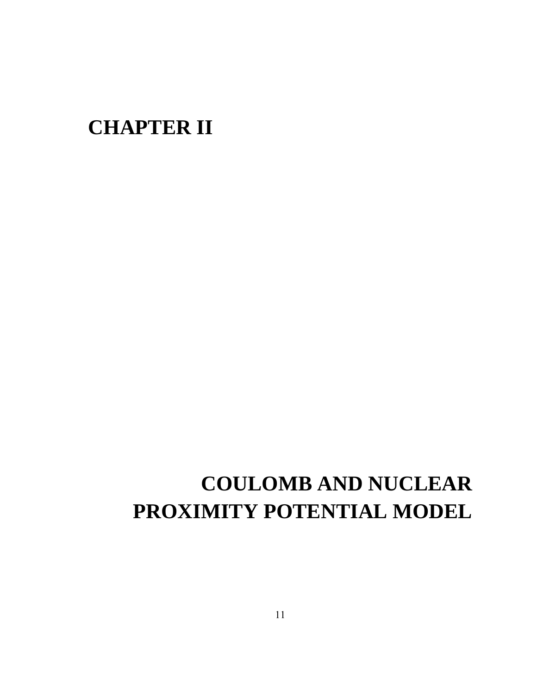## **CHAPTER II**

# **COULOMB AND NUCLEAR PROXIMITY POTENTIAL MODEL**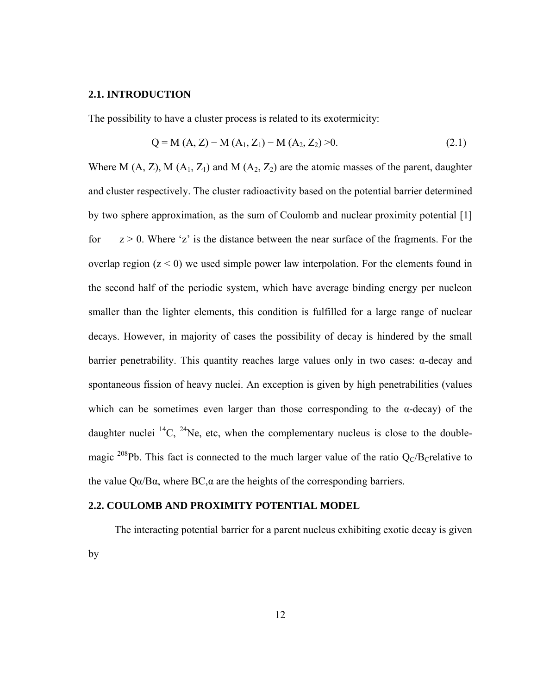#### **2.1. INTRODUCTION**

The possibility to have a cluster process is related to its exotermicity:

$$
Q = M (A, Z) - M (A1, Z1) - M (A2, Z2) > 0.
$$
 (2.1)

Where M (A, Z), M (A<sub>1</sub>, Z<sub>1</sub>) and M (A<sub>2</sub>, Z<sub>2</sub>) are the atomic masses of the parent, daughter and cluster respectively. The cluster radioactivity based on the potential barrier determined by two sphere approximation, as the sum of Coulomb and nuclear proximity potential [1] for  $z > 0$ . Where 'z' is the distance between the near surface of the fragments. For the overlap region  $(z < 0)$  we used simple power law interpolation. For the elements found in the second half of the periodic system, which have average binding energy per nucleon smaller than the lighter elements, this condition is fulfilled for a large range of nuclear decays. However, in majority of cases the possibility of decay is hindered by the small barrier penetrability. This quantity reaches large values only in two cases: α-decay and spontaneous fission of heavy nuclei. An exception is given by high penetrabilities (values which can be sometimes even larger than those corresponding to the  $\alpha$ -decay) of the daughter nuclei  $^{14}C$ ,  $^{24}Ne$ , etc, when the complementary nucleus is close to the doublemagic <sup>208</sup>Pb. This fact is connected to the much larger value of the ratio  $Q_C/B_C$ relative to the value  $Q\alpha/B\alpha$ , where BC, $\alpha$  are the heights of the corresponding barriers.

### **2.2. COULOMB AND PROXIMITY POTENTIAL MODEL**

The interacting potential barrier for a parent nucleus exhibiting exotic decay is given by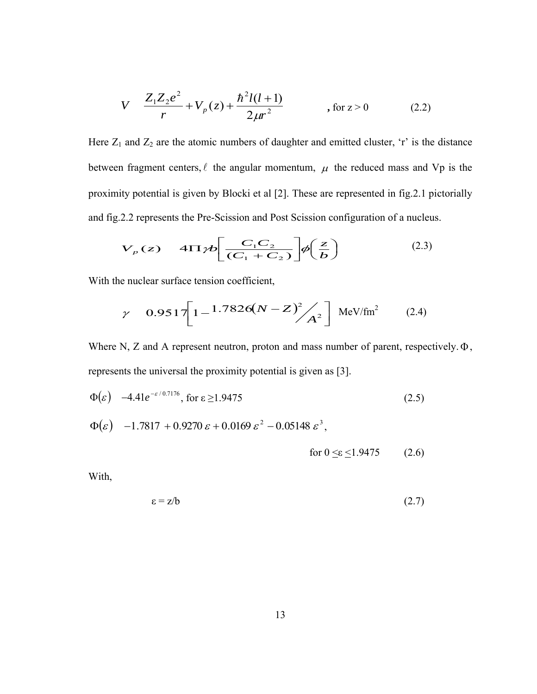$$
V \quad \frac{Z_1 Z_2 e^2}{r} + V_p(z) + \frac{\hbar^2 l(l+1)}{2\mu r^2} \quad , \text{ for } z > 0 \tag{2.2}
$$

Here  $Z_1$  and  $Z_2$  are the atomic numbers of daughter and emitted cluster, 'r' is the distance between fragment centers,  $\ell$  the angular momentum,  $\mu$  the reduced mass and Vp is the proximity potential is given by Blocki et al [2]. These are represented in fig.2.1 pictorially and fig.2.2 represents the Pre-Scission and Post Scission configuration of a nucleus.

$$
V_p(z) \quad 4\Pi \gamma b \bigg[ \frac{C_1 C_2}{(C_1 + C_2)} \bigg] \phi \bigg( \frac{z}{b} \bigg) \tag{2.3}
$$

With the nuclear surface tension coefficient,

$$
\gamma = 0.9517 \left[ 1 - \frac{1.7826(N - Z)^{2}}{A^{2}} \right] \text{ MeV/fm}^{2} \qquad (2.4)
$$

Where N, Z and A represent neutron, proton and mass number of parent, respectively. $\Phi$ , represents the universal the proximity potential is given as [3].

$$
\Phi(\varepsilon) \quad -4.41 e^{-\varepsilon/0.7176}, \text{ for } \varepsilon \ge 1.9475
$$
\n
$$
\Phi(\varepsilon) \quad -1.7817 + 0.9270 \, \varepsilon + 0.0169 \, \varepsilon^2 - 0.05148 \, \varepsilon^3,
$$
\n(2.5)

for 
$$
0 \leq \varepsilon \leq 1.9475
$$
 (2.6)

With,

$$
\varepsilon = z/b \tag{2.7}
$$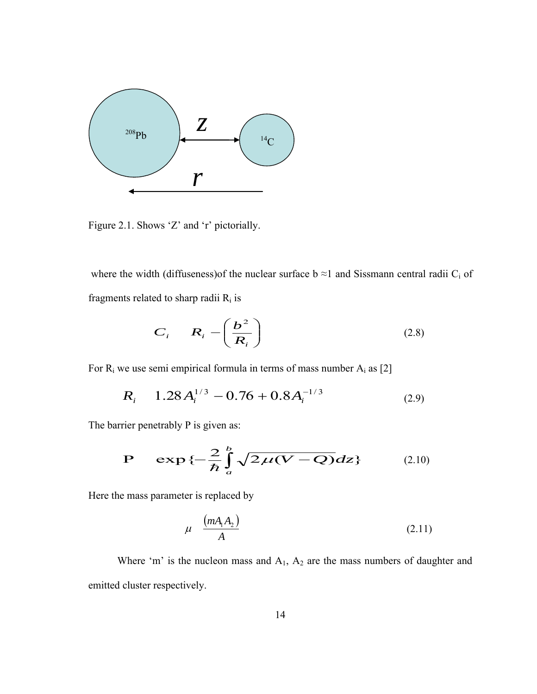

Figure 2.1. Shows 'Z' and 'r' pictorially.

where the width (diffuseness) of the nuclear surface  $b \approx 1$  and Sissmann central radii  $C_i$  of fragments related to sharp radii  $R_i$  is

$$
C_i \t R_i - \left(\frac{b^2}{R_i}\right) \t (2.8)
$$

For  $R_i$  we use semi empirical formula in terms of mass number  $A_i$  as [2]

$$
R_i = 1.28 A_i^{1/3} - 0.76 + 0.8 A_i^{-1/3}
$$
 (2.9)

The barrier penetrably P is given as:

$$
P = \exp\{-\frac{2}{\hbar}\int_{a}^{b}\sqrt{2\mu(V-Q)}dz\}
$$
 (2.10)

Here the mass parameter is replaced by

$$
\mu \quad \frac{(mA_1A_2)}{A} \tag{2.11}
$$

Where 'm' is the nucleon mass and  $A_1$ ,  $A_2$  are the mass numbers of daughter and emitted cluster respectively.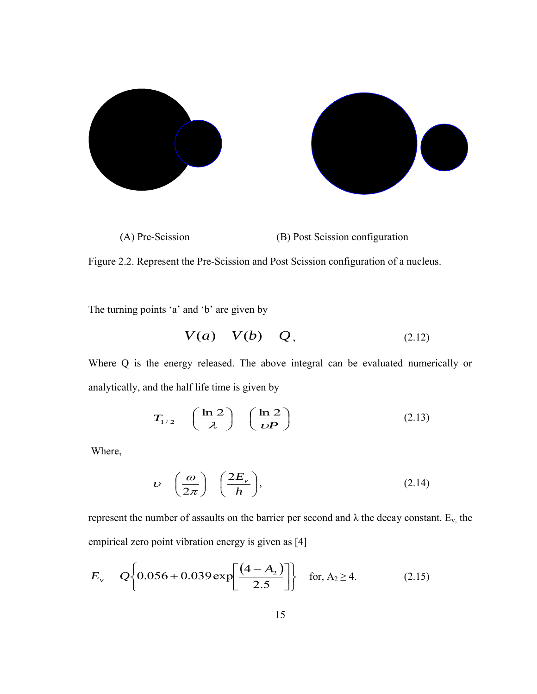

Figure 2.2. Represent the Pre-Scission and Post Scission configuration of a nucleus.

The turning points 'a' and 'b' are given by

$$
V(a) V(b) Q, \t(2.12)
$$

Where Q is the energy released. The above integral can be evaluated numerically or analytically, and the half life time is given by

$$
T_{1/2} \quad \left(\frac{\ln 2}{\lambda}\right) \quad \left(\frac{\ln 2}{\nu P}\right) \tag{2.13}
$$

Where,

$$
\upsilon \quad \left(\frac{\omega}{2\pi}\right) \quad \left(\frac{2E_{\upsilon}}{h}\right), \tag{2.14}
$$

represent the number of assaults on the barrier per second and  $\lambda$  the decay constant. E<sub>v,</sub> the empirical zero point vibration energy is given as [4]

$$
E_{\nu} \qquad Q\left\{0.056 + 0.039 \exp\left[\frac{(4 - A_2)}{2.5}\right]\right\} \quad \text{for, } A_2 \ge 4. \tag{2.15}
$$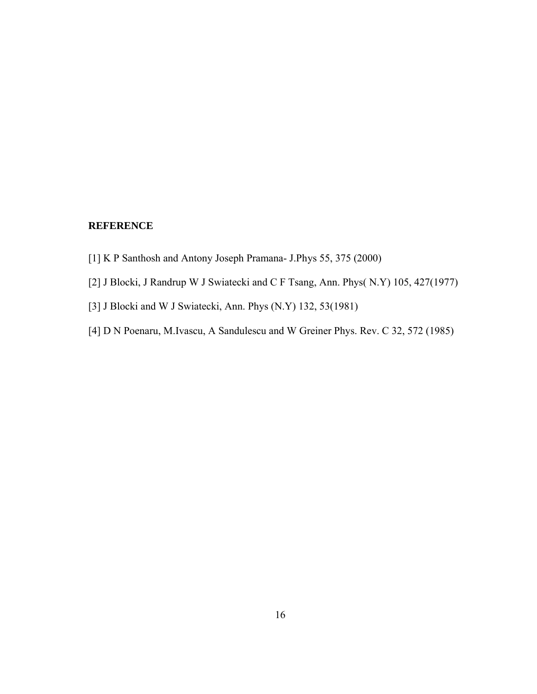### **REFERENCE**

- [1] K P Santhosh and Antony Joseph Pramana- J.Phys 55, 375 (2000)
- [2] J Blocki, J Randrup W J Swiatecki and C F Tsang, Ann. Phys( N.Y) 105, 427(1977)
- [3] J Blocki and W J Swiatecki, Ann. Phys (N.Y) 132, 53(1981)
- [4] D N Poenaru, M.Ivascu, A Sandulescu and W Greiner Phys. Rev. C 32, 572 (1985)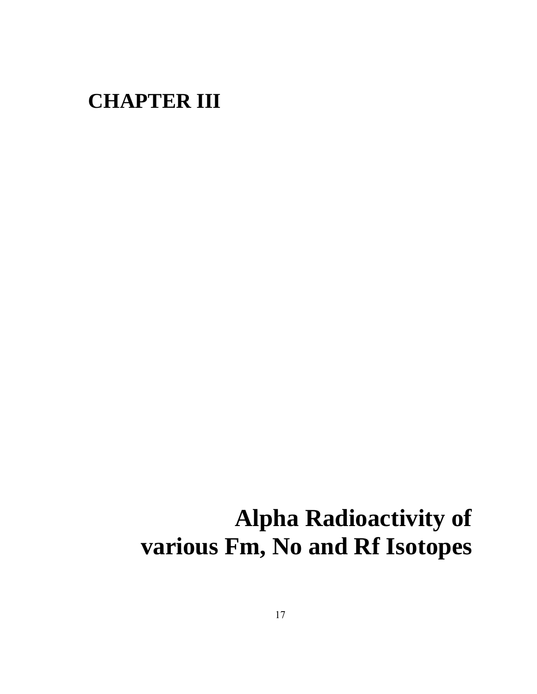## **CHAPTER III**

# **Alpha Radioactivity of various Fm, No and Rf Isotopes**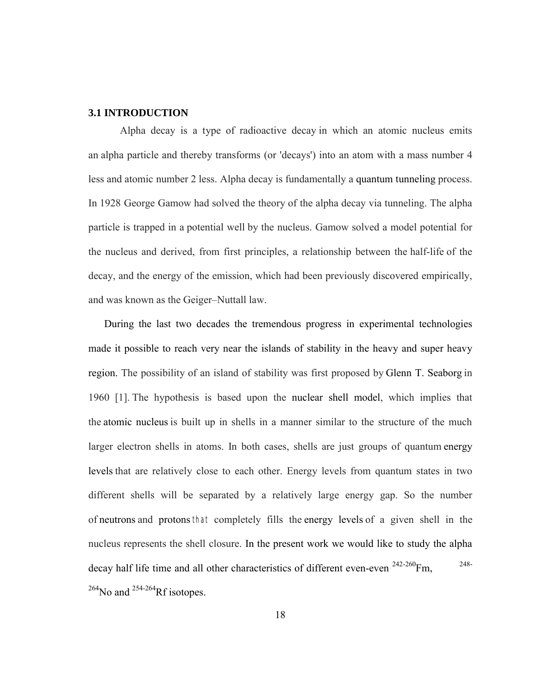### **3.1 INTRODUCTION**

Alpha decay is a type of radioactive decay in which an atomic nucleus emits an alpha particle and thereby transforms (or 'decays') into an atom with a mass number 4 less and atomic number 2 less. Alpha decay is fundamentally a quantum tunneling process. In 1928 George Gamow had solved the theory of the alpha decay via tunneling. The alpha particle is trapped in a potential well by the nucleus. Gamow solved a model potential for the nucleus and derived, from first principles, a relationship between the half-life of the decay, and the energy of the emission, which had been previously discovered empirically, and was known as the Geiger–Nuttall law.

During the last two decades the tremendous progress in experimental technologies made it possible to reach very near the islands of stability in the heavy and super heavy region. The possibility of an island of stability was first proposed by Glenn T. Seaborg in 1960 [1]. The hypothesis is based upon the nuclear shell model, which implies that the atomic nucleus is built up in shells in a manner similar to the structure of the much larger electron shells in atoms. In both cases, shells are just groups of quantum energy levels that are relatively close to each other. Energy levels from quantum states in two different shells will be separated by a relatively large energy gap. So the number of neutrons and protons that completely fills the energy levels of a given shell in the nucleus represents the shell closure. In the present work we would like to study the alpha decay half life time and all other characteristics of different even-even  $^{242-260}$ Fm,  $^{248-}$  $^{264}$ No and  $^{254-264}$ Rf isotopes.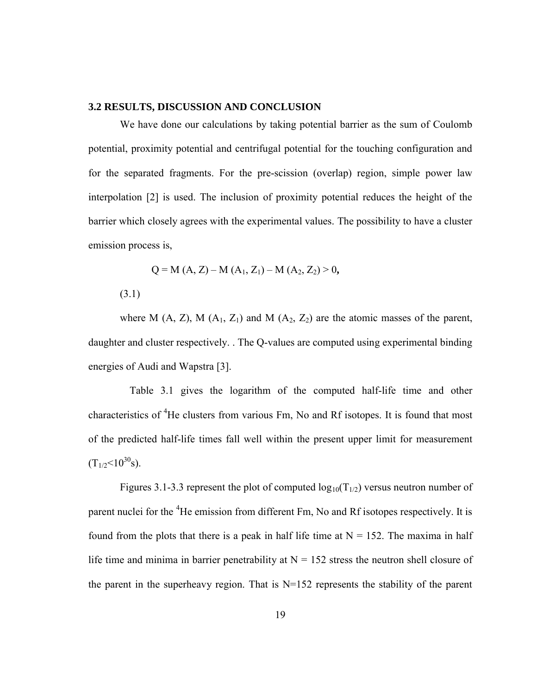### **3.2 RESULTS, DISCUSSION AND CONCLUSION**

We have done our calculations by taking potential barrier as the sum of Coulomb potential, proximity potential and centrifugal potential for the touching configuration and for the separated fragments. For the pre-scission (overlap) region, simple power law interpolation [2] is used. The inclusion of proximity potential reduces the height of the barrier which closely agrees with the experimental values. The possibility to have a cluster emission process is,

$$
Q = M (A, Z) - M (A1, Z1) - M (A2, Z2) > 0,
$$

(3.1)

where M  $(A, Z)$ , M  $(A_1, Z_1)$  and M  $(A_2, Z_2)$  are the atomic masses of the parent, daughter and cluster respectively. . The Q-values are computed using experimental binding energies of Audi and Wapstra [3].

Table 3.1 gives the logarithm of the computed half-life time and other characteristics of <sup>4</sup>He clusters from various Fm, No and Rf isotopes. It is found that most of the predicted half-life times fall well within the present upper limit for measurement  $(T_{1/2} < 10^{30} s)$ .

Figures 3.1-3.3 represent the plot of computed  $log_{10}(T_{1/2})$  versus neutron number of parent nuclei for the <sup>4</sup>He emission from different Fm, No and Rf isotopes respectively. It is found from the plots that there is a peak in half life time at  $N = 152$ . The maxima in half life time and minima in barrier penetrability at  $N = 152$  stress the neutron shell closure of the parent in the superheavy region. That is N=152 represents the stability of the parent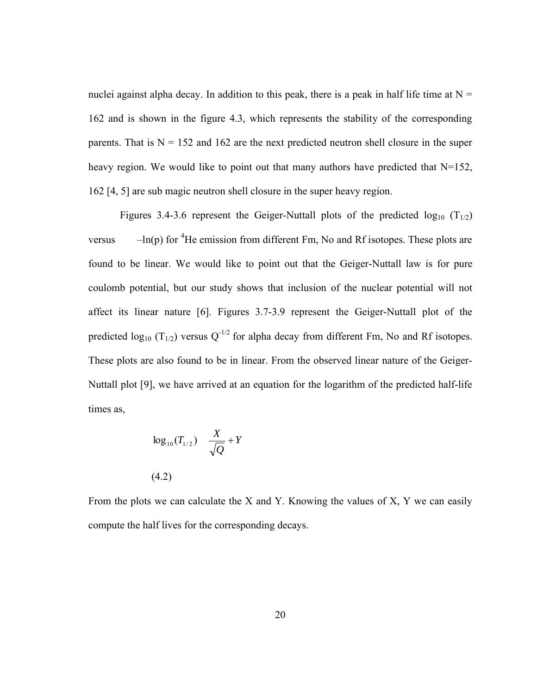nuclei against alpha decay. In addition to this peak, there is a peak in half life time at  $N =$ 162 and is shown in the figure 4.3, which represents the stability of the corresponding parents. That is  $N = 152$  and 162 are the next predicted neutron shell closure in the super heavy region. We would like to point out that many authors have predicted that  $N=152$ , 162 [4, 5] are sub magic neutron shell closure in the super heavy region.

Figures 3.4-3.6 represent the Geiger-Nuttall plots of the predicted  $log_{10} (T_{1/2})$ versus  $-\ln(p)$  for <sup>4</sup>He emission from different Fm, No and Rf isotopes. These plots are found to be linear. We would like to point out that the Geiger-Nuttall law is for pure coulomb potential, but our study shows that inclusion of the nuclear potential will not affect its linear nature [6]. Figures 3.7-3.9 represent the Geiger-Nuttall plot of the predicted  $log_{10} (T_{1/2})$  versus  $Q^{-1/2}$  for alpha decay from different Fm, No and Rf isotopes. These plots are also found to be in linear. From the observed linear nature of the Geiger-Nuttall plot [9], we have arrived at an equation for the logarithm of the predicted half-life times as,

$$
\log_{10}(T_{1/2}) \quad \frac{X}{\sqrt{Q}} + Y
$$
\n(4.2)

From the plots we can calculate the X and Y. Knowing the values of X, Y we can easily compute the half lives for the corresponding decays.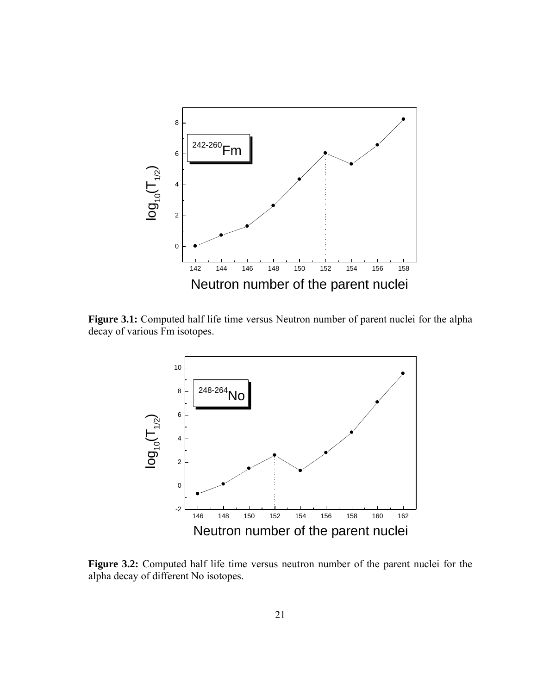

**Figure 3.1:** Computed half life time versus Neutron number of parent nuclei for the alpha decay of various Fm isotopes.



**Figure 3.2:** Computed half life time versus neutron number of the parent nuclei for the alpha decay of different No isotopes.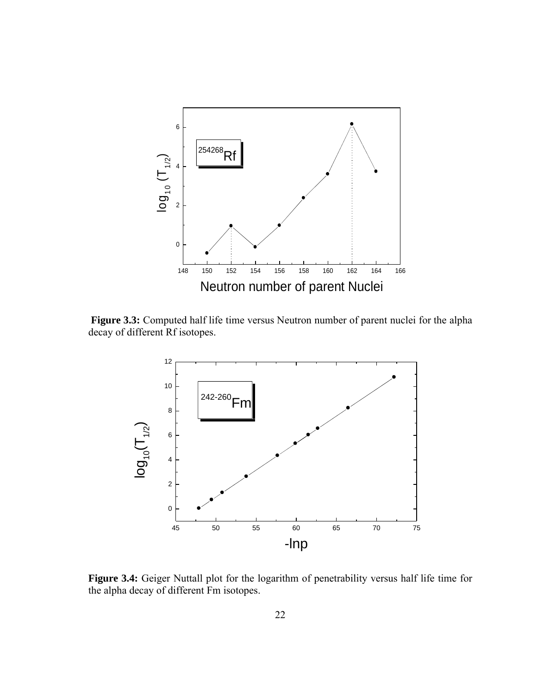

**Figure 3.3:** Computed half life time versus Neutron number of parent nuclei for the alpha decay of different Rf isotopes.



**Figure 3.4:** Geiger Nuttall plot for the logarithm of penetrability versus half life time for the alpha decay of different Fm isotopes.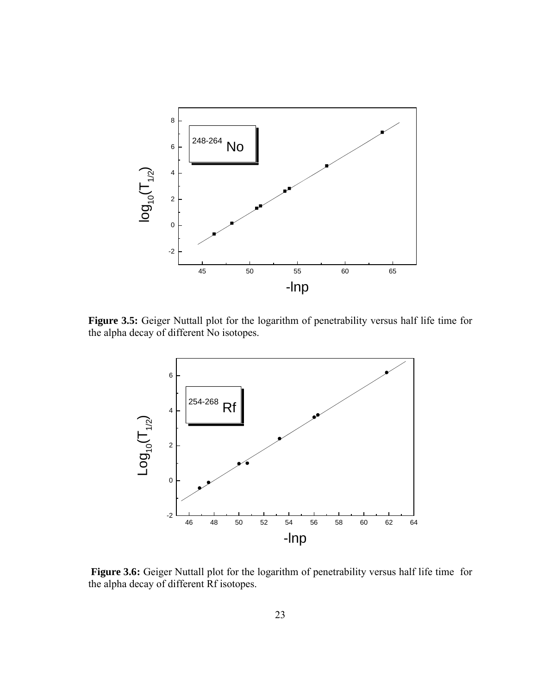

**Figure 3.5:** Geiger Nuttall plot for the logarithm of penetrability versus half life time for the alpha decay of different No isotopes.



**Figure 3.6:** Geiger Nuttall plot for the logarithm of penetrability versus half life time for the alpha decay of different Rf isotopes.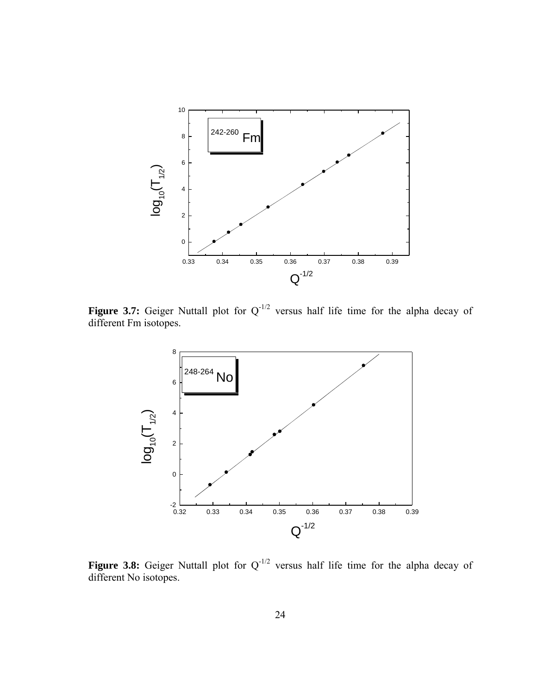

**Figure 3.7:** Geiger Nuttall plot for  $Q^{-1/2}$  versus half life time for the alpha decay of different Fm isotopes.



**Figure 3.8:** Geiger Nuttall plot for  $Q^{-1/2}$  versus half life time for the alpha decay of different No isotopes.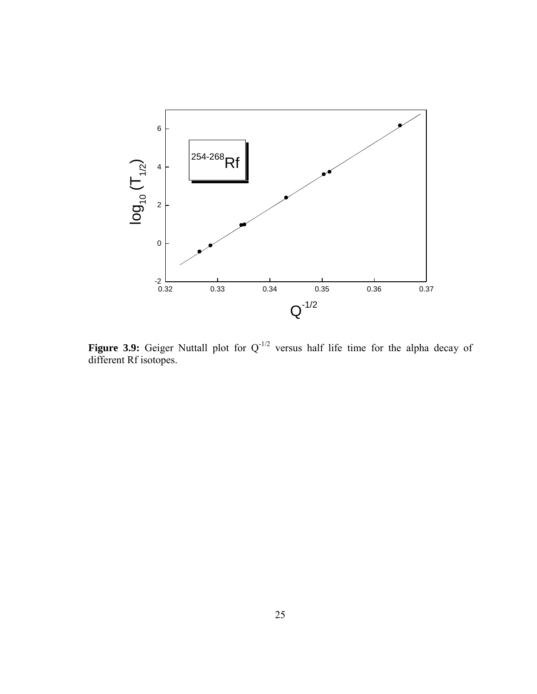

**Figure 3.9:** Geiger Nuttall plot for  $Q^{-1/2}$  versus half life time for the alpha decay of different Rf isotopes.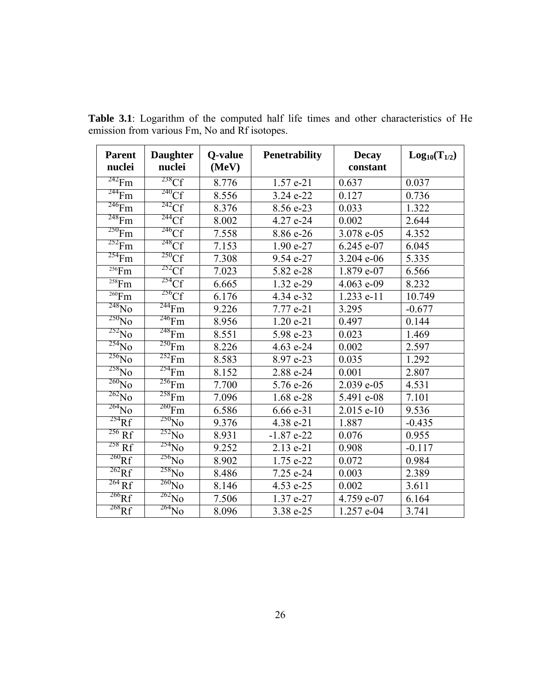| <b>Parent</b><br>nuclei             | <b>Daughter</b><br>nuclei | Q-value<br>(MeV) | <b>Penetrability</b> | <b>Decay</b><br>constant | $Log_{10}(T_{1/2})$ |
|-------------------------------------|---------------------------|------------------|----------------------|--------------------------|---------------------|
| $^{242}$ Fm                         | $238$ Cf                  | 8.776            | 1.57 e-21            | 0.637                    | 0.037               |
| $\sqrt[244]{F}m$                    | $240 \text{C}f$           | 8.556            | 3.24 e-22            | 0.127                    | 0.736               |
| $\overline{^{246}\text{F}}\text{m}$ | $\overline{^{242}Cf}$     | 8.376            | 8.56 e-23            | 0.033                    | 1.322               |
| $\sqrt[248]{F}m$                    | $244$ Cf                  | 8.002            | 4.27 e-24            | 0.002                    | 2.644               |
| $^{250}\mathrm{Fm}$                 | 246 <sub>CF</sub>         | 7.558            | 8.86 e-26            | 3.078 e-05               | 4.352               |
| $252$ Fm                            | $248$ Cf                  | 7.153            | 1.90 e-27            | 6.245 e-07               | 6.045               |
| $^{254}$ Fm                         | 250Cf                     | 7.308            | 9.54 e-27            | 3.204 e-06               | 5.335               |
| $256$ Fm                            | $252 \text{C}f$           | 7.023            | 5.82 e-28            | 1.879 e-07               | 6.566               |
| $258$ Fm                            | 254C                      | 6.665            | 1.32 e-29            | 4.063 e-09               | 8.232               |
| $\overline{^{260}}Fm$               | 256 <sub>CF</sub>         | 6.176            | 4.34 e-32            | 1.233 e-11               | 10.749              |
| $^{248}$ N <sub>0</sub>             | $^{244}$ Fm               | 9.226            | 7.77 e-21            | 3.295                    | $-0.677$            |
| $\frac{250}{NQ}$                    | $\overline{^{246}F}m$     | 8.956            | 1.20 e-21            | 0.497                    | 0.144               |
| $\overline{^{252}N_0}$              | $^{248}\mathrm{Fm}$       | 8.551            | 5.98 e-23            | 0.023                    | 1.469               |
| $\sqrt[254]{N_0}$                   | $250$ Fm                  | 8.226            | 4.63 e-24            | 0.002                    | 2.597               |
| $\frac{256}{NQ}$                    | $252$ Fm                  | 8.583            | 8.97 e-23            | 0.035                    | 1.292               |
| $^{258}\rm{No}$                     | $254$ Fm                  | 8.152            | 2.88 e-24            | 0.001                    | 2.807               |
| $\sqrt[260]{NQ}$                    | $^{256}$ Fm               | 7.700            | 5.76 e-26            | 2.039 e-05               | 4.531               |
| $\overline{^{262}}\overline{N}$ o   | 258Fm                     | 7.096            | 1.68 e-28            | 5.491 e-08               | 7.101               |
| $\frac{264}{NQ}$                    | $^{260}$ Fm               | 6.586            | $6.66 e-31$          | $2.015$ e-10             | 9.536               |
| $\sqrt[254]{Rf}$                    | $250$ No                  | 9.376            | 4.38 e-21            | 1.887                    | $-0.435$            |
| $\overline{^{256}Rf}$               | $\overline{^{252}\!No}$   | 8.931            | $-1.87e-22$          | 0.076                    | 0.955               |
| $\overline{^{258}Rf}$               | $^{254}$ No               | 9.252            | 2.13 e-21            | 0.908                    | $-0.117$            |
| $^{260}$ Rf                         | $\frac{256}{NQ}$          | 8.902            | 1.75 e-22            | 0.072                    | 0.984               |
| $\overline{^{262}Rf}$               | $\frac{258}{NQ}$          | 8.486            | 7.25 e-24            | 0.003                    | 2.389               |
| $^{264}$ Rf                         | $260$ No                  | 8.146            | 4.53 e-25            | 0.002                    | 3.611               |
| $^{266}$ Rf                         | $\frac{262}{NQ}$          | 7.506            | 1.37 e-27            | 4.759 e-07               | 6.164               |
| $\sqrt[268]{Rf}$                    | $\frac{264}{NQ}$          | 8.096            | 3.38 e-25            | 1.257 e-04               | 3.741               |

**Table 3.1**: Logarithm of the computed half life times and other characteristics of He emission from various Fm, No and Rf isotopes.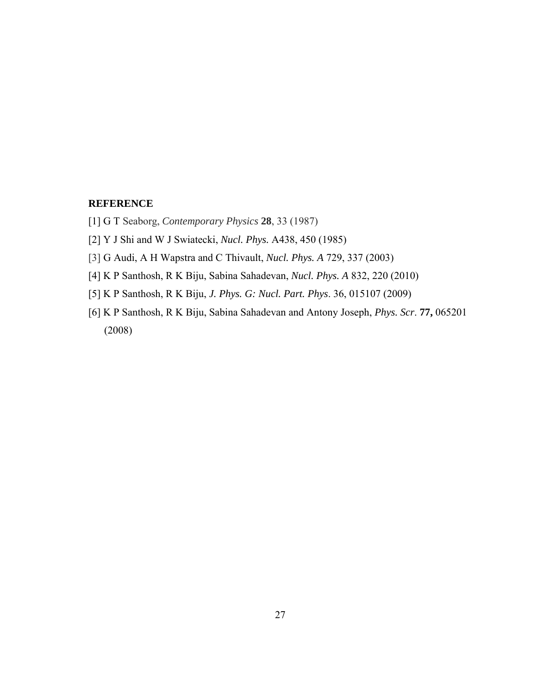### **REFERENCE**

- [1] G T Seaborg, *Contemporary Physics* **28**, 33 (1987)
- [2] Y J Shi and W J Swiatecki, *Nucl. Phys.* A438, 450 (1985)
- [3] G Audi, A H Wapstra and C Thivault, *Nucl. Phys. A* 729, 337 (2003)
- [4] K P Santhosh, R K Biju, Sabina Sahadevan, *Nucl. Phys. A* 832, 220 (2010)
- [5] K P Santhosh, R K Biju, *J. Phys. G: Nucl. Part. Phys*. 36, 015107 (2009)
- [6] K P Santhosh, R K Biju, Sabina Sahadevan and Antony Joseph, *Phys. Scr*. **77,** 065201 (2008)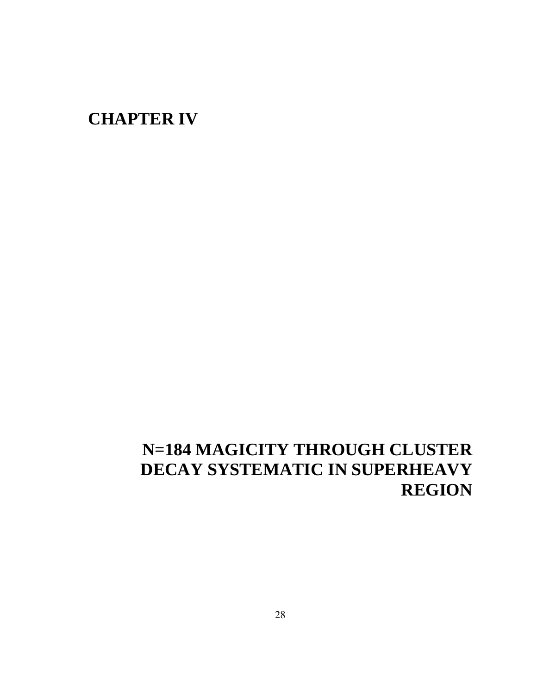### **CHAPTER IV**

### **N=184 MAGICITY THROUGH CLUSTER DECAY SYSTEMATIC IN SUPERHEAVY REGION**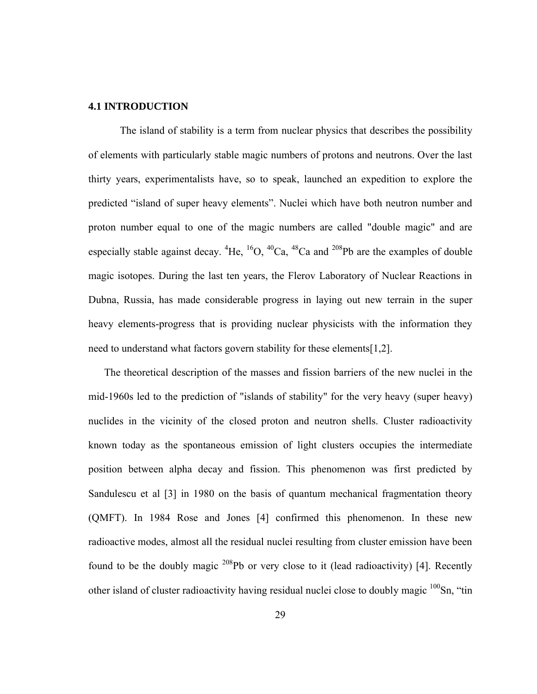### **4.1 INTRODUCTION**

The island of stability is a term from nuclear physics that describes the possibility of elements with particularly stable magic numbers of protons and neutrons. Over the last thirty years, experimentalists have, so to speak, launched an expedition to explore the predicted "island of super heavy elements". Nuclei which have both neutron number and proton number equal to one of the magic numbers are called "double magic" and are especially stable against decay.  ${}^{4}$ He,  ${}^{16}O$ ,  ${}^{40}Ca$ ,  ${}^{48}Ca$  and  ${}^{208}Pb$  are the examples of double magic isotopes. During the last ten years, the Flerov Laboratory of Nuclear Reactions in Dubna, Russia, has made considerable progress in laying out new terrain in the super heavy elements-progress that is providing nuclear physicists with the information they need to understand what factors govern stability for these elements[1,2].

The theoretical description of the masses and fission barriers of the new nuclei in the mid-1960s led to the prediction of "islands of stability" for the very heavy (super heavy) nuclides in the vicinity of the closed proton and neutron shells. Cluster radioactivity known today as the spontaneous emission of light clusters occupies the intermediate position between alpha decay and fission. This phenomenon was first predicted by Sandulescu et al [3] in 1980 on the basis of quantum mechanical fragmentation theory (QMFT). In 1984 Rose and Jones [4] confirmed this phenomenon. In these new radioactive modes, almost all the residual nuclei resulting from cluster emission have been found to be the doubly magic  $^{208}Pb$  or very close to it (lead radioactivity) [4]. Recently other island of cluster radioactivity having residual nuclei close to doubly magic  $100$ Sn, "tin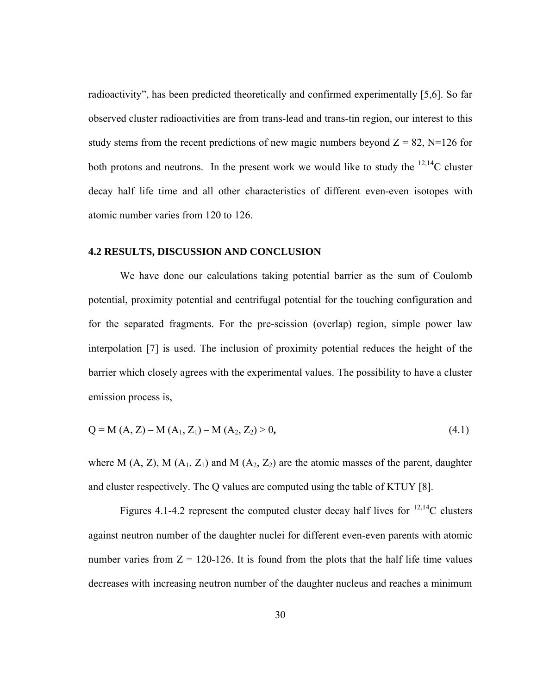radioactivity", has been predicted theoretically and confirmed experimentally [5,6]. So far observed cluster radioactivities are from trans-lead and trans-tin region, our interest to this study stems from the recent predictions of new magic numbers beyond  $Z = 82$ , N=126 for both protons and neutrons. In the present work we would like to study the  $^{12,14}$ C cluster decay half life time and all other characteristics of different even-even isotopes with atomic number varies from 120 to 126.

### **4.2 RESULTS, DISCUSSION AND CONCLUSION**

We have done our calculations taking potential barrier as the sum of Coulomb potential, proximity potential and centrifugal potential for the touching configuration and for the separated fragments. For the pre-scission (overlap) region, simple power law interpolation [7] is used. The inclusion of proximity potential reduces the height of the barrier which closely agrees with the experimental values. The possibility to have a cluster emission process is,

$$
Q = M (A, Z) - M (A1, Z1) - M (A2, Z2) > 0,
$$
\n(4.1)

where M  $(A, Z)$ , M  $(A_1, Z_1)$  and M  $(A_2, Z_2)$  are the atomic masses of the parent, daughter and cluster respectively. The Q values are computed using the table of KTUY [8].

Figures 4.1-4.2 represent the computed cluster decay half lives for  $^{12,14}$ C clusters against neutron number of the daughter nuclei for different even-even parents with atomic number varies from  $Z = 120-126$ . It is found from the plots that the half life time values decreases with increasing neutron number of the daughter nucleus and reaches a minimum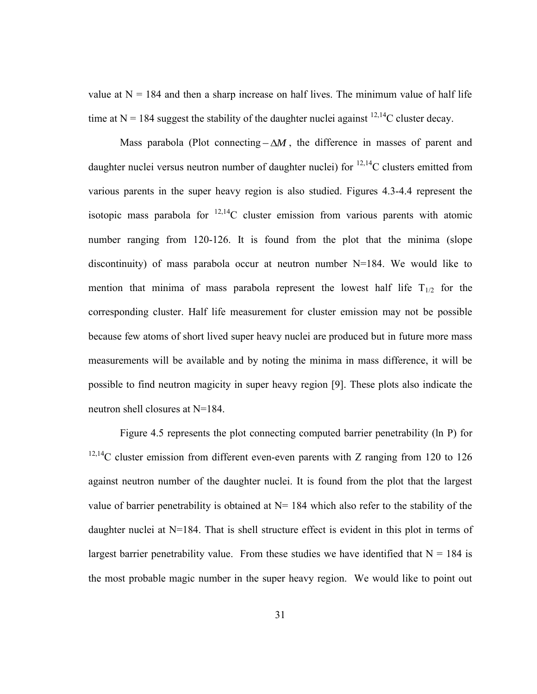value at  $N = 184$  and then a sharp increase on half lives. The minimum value of half life time at  $N = 184$  suggest the stability of the daughter nuclei against <sup>12,14</sup>C cluster decay.

Mass parabola (Plot connecting  $-\Delta M$ , the difference in masses of parent and daughter nuclei versus neutron number of daughter nuclei) for  $^{12,14}$ C clusters emitted from various parents in the super heavy region is also studied. Figures 4.3-4.4 represent the isotopic mass parabola for  $^{12,14}$ C cluster emission from various parents with atomic number ranging from 120-126. It is found from the plot that the minima (slope discontinuity) of mass parabola occur at neutron number N=184. We would like to mention that minima of mass parabola represent the lowest half life  $T_{1/2}$  for the corresponding cluster. Half life measurement for cluster emission may not be possible because few atoms of short lived super heavy nuclei are produced but in future more mass measurements will be available and by noting the minima in mass difference, it will be possible to find neutron magicity in super heavy region [9]. These plots also indicate the neutron shell closures at N=184.

Figure 4.5 represents the plot connecting computed barrier penetrability (ln P) for  $12,14$ C cluster emission from different even-even parents with Z ranging from 120 to 126 against neutron number of the daughter nuclei. It is found from the plot that the largest value of barrier penetrability is obtained at  $N= 184$  which also refer to the stability of the daughter nuclei at N=184. That is shell structure effect is evident in this plot in terms of largest barrier penetrability value. From these studies we have identified that  $N = 184$  is the most probable magic number in the super heavy region. We would like to point out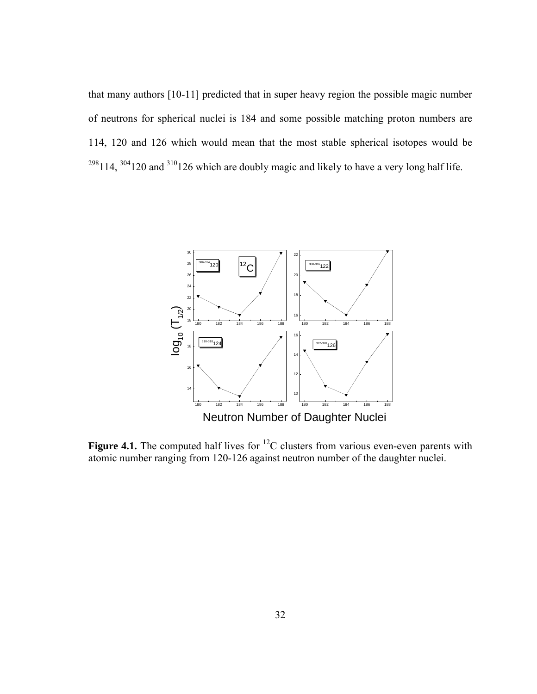that many authors [10-11] predicted that in super heavy region the possible magic number of neutrons for spherical nuclei is 184 and some possible matching proton numbers are 114, 120 and 126 which would mean that the most stable spherical isotopes would be ,  $304120$  and  $310126$  which are doubly magic and likely to have a very long half life.



**Figure 4.1.** The computed half lives for <sup>12</sup>C clusters from various even-even parents with atomic number ranging from 120-126 against neutron number of the daughter nuclei.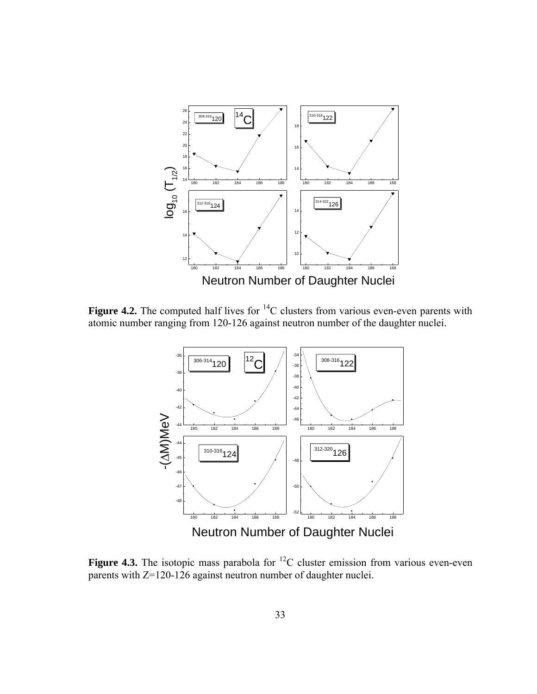

**Figure 4.2.** The computed half lives for <sup>14</sup>C clusters from various even-even parents with atomic number ranging from 120-126 against neutron number of the daughter nuclei.



**Figure 4.3.** The isotopic mass parabola for  ${}^{12}C$  cluster emission from various even-even parents with Z=120-126 against neutron number of daughter nuclei.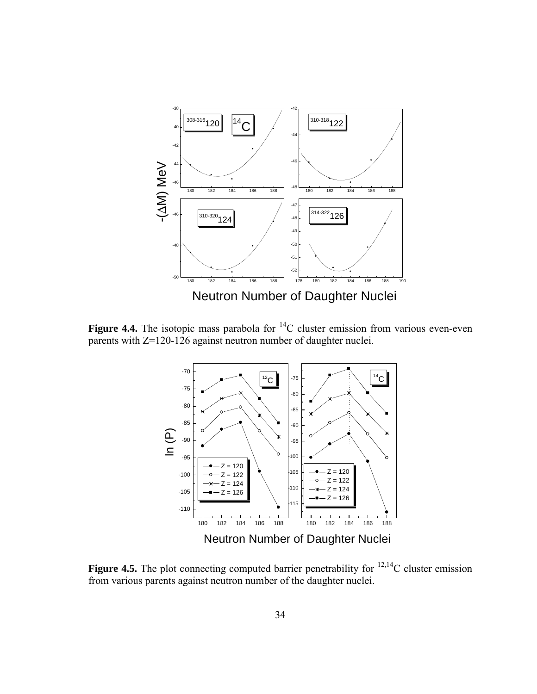

**Figure 4.4.** The isotopic mass parabola for <sup>14</sup>C cluster emission from various even-even parents with Z=120-126 against neutron number of daughter nuclei.



**Figure 4.5.** The plot connecting computed barrier penetrability for  $^{12,14}$ C cluster emission from various parents against neutron number of the daughter nuclei.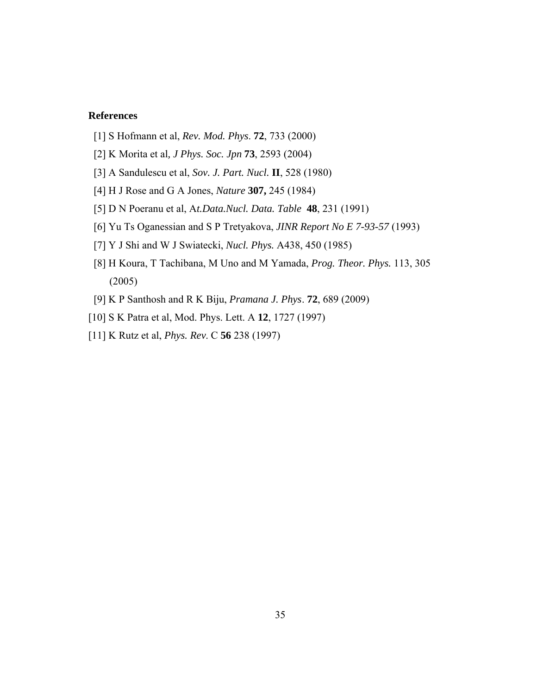### **References**

- [1] S Hofmann et al, *Rev. Mod. Phys*. **72**, 733 (2000)
- [2] K Morita et al*, J Phys. Soc. Jpn* **73**, 2593 (2004)
- [3] A Sandulescu et al, *Sov. J. Part. Nucl.* **II**, 528 (1980)
- [4] H J Rose and G A Jones, *Nature* **307,** 245 (1984)
- [5] D N Poeranu et al, A*t.Data.Nucl. Data. Table* **48**, 231 (1991)
- [6] Yu Ts Oganessian and S P Tretyakova, *JINR Report No E 7-93-57* (1993)
- [7] Y J Shi and W J Swiatecki, *Nucl. Phys.* A438, 450 (1985)
- [8] H Koura, T Tachibana, M Uno and M Yamada, *Prog. Theor. Phys.* 113, 305 (2005)
- [9] K P Santhosh and R K Biju, *Pramana J. Phys*. **72**, 689 (2009)
- [10] S K Patra et al, Mod. Phys. Lett. A **12**, 1727 (1997)
- [11] K Rutz et al, *Phys. Rev*. C **56** 238 (1997)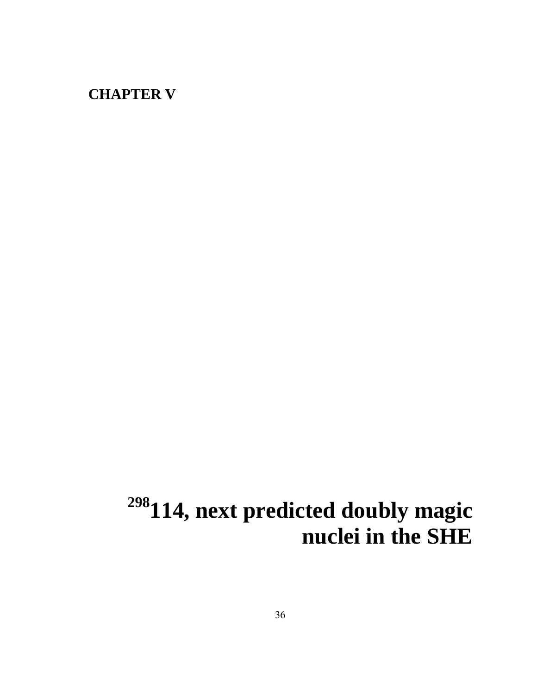### **CHAPTER V**

# <sup>298</sup>114, next predicted doubly magic **nuclei in the SHE**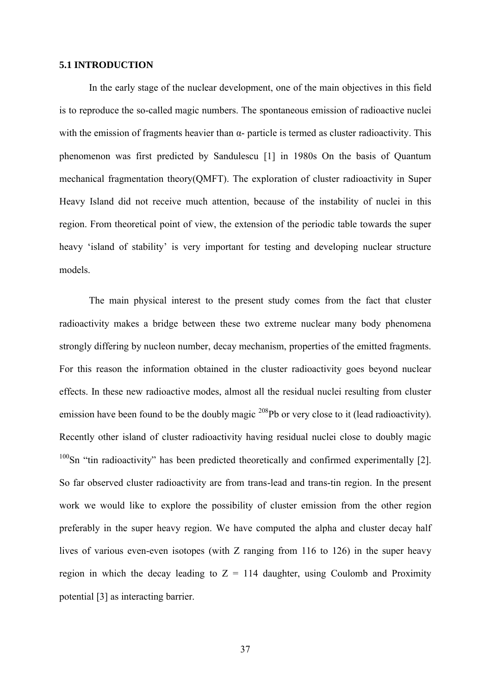#### **5.1 INTRODUCTION**

In the early stage of the nuclear development, one of the main objectives in this field is to reproduce the so-called magic numbers. The spontaneous emission of radioactive nuclei with the emission of fragments heavier than  $\alpha$ - particle is termed as cluster radioactivity. This phenomenon was first predicted by Sandulescu [1] in 1980s On the basis of Quantum mechanical fragmentation theory(QMFT). The exploration of cluster radioactivity in Super Heavy Island did not receive much attention, because of the instability of nuclei in this region. From theoretical point of view, the extension of the periodic table towards the super heavy 'island of stability' is very important for testing and developing nuclear structure models.

The main physical interest to the present study comes from the fact that cluster radioactivity makes a bridge between these two extreme nuclear many body phenomena strongly differing by nucleon number, decay mechanism, properties of the emitted fragments. For this reason the information obtained in the cluster radioactivity goes beyond nuclear effects. In these new radioactive modes, almost all the residual nuclei resulting from cluster emission have been found to be the doubly magic <sup>208</sup>Pb or very close to it (lead radioactivity). Recently other island of cluster radioactivity having residual nuclei close to doubly magic  $100$ Sn "tin radioactivity" has been predicted theoretically and confirmed experimentally [2]. So far observed cluster radioactivity are from trans-lead and trans-tin region. In the present work we would like to explore the possibility of cluster emission from the other region preferably in the super heavy region. We have computed the alpha and cluster decay half lives of various even-even isotopes (with Z ranging from 116 to 126) in the super heavy region in which the decay leading to  $Z = 114$  daughter, using Coulomb and Proximity potential [3] as interacting barrier.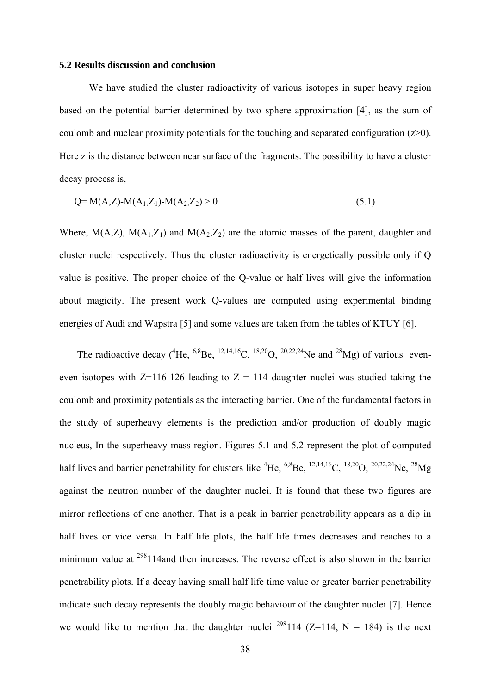#### **5.2 Results discussion and conclusion**

We have studied the cluster radioactivity of various isotopes in super heavy region based on the potential barrier determined by two sphere approximation [4], as the sum of coulomb and nuclear proximity potentials for the touching and separated configuration (z>0). Here z is the distance between near surface of the fragments. The possibility to have a cluster decay process is,

$$
Q = M(A,Z) - M(A_1,Z_1) - M(A_2,Z_2) > 0
$$
\n(5.1)

Where,  $M(A,Z)$ ,  $M(A_1,Z_1)$  and  $M(A_2,Z_2)$  are the atomic masses of the parent, daughter and cluster nuclei respectively. Thus the cluster radioactivity is energetically possible only if Q value is positive. The proper choice of the Q-value or half lives will give the information about magicity. The present work Q-values are computed using experimental binding energies of Audi and Wapstra [5] and some values are taken from the tables of KTUY [6].

The radioactive decay (<sup>4</sup>He, <sup>6,8</sup>Be, <sup>12,14,16</sup>C, <sup>18,20</sup>O, <sup>20,22,24</sup>Ne and <sup>28</sup>Mg) of various eveneven isotopes with  $Z=116-126$  leading to  $Z = 114$  daughter nuclei was studied taking the coulomb and proximity potentials as the interacting barrier. One of the fundamental factors in the study of superheavy elements is the prediction and/or production of doubly magic nucleus, In the superheavy mass region. Figures 5.1 and 5.2 represent the plot of computed half lives and barrier penetrability for clusters like <sup>4</sup>He, <sup>6,8</sup>Be, <sup>12,14,16</sup>C, <sup>18,20</sup>O, <sup>20,22,24</sup>Ne, <sup>28</sup>Mg against the neutron number of the daughter nuclei. It is found that these two figures are mirror reflections of one another. That is a peak in barrier penetrability appears as a dip in half lives or vice versa. In half life plots, the half life times decreases and reaches to a minimum value at <sup>298</sup>114and then increases. The reverse effect is also shown in the barrier penetrability plots. If a decay having small half life time value or greater barrier penetrability indicate such decay represents the doubly magic behaviour of the daughter nuclei [7]. Hence we would like to mention that the daughter nuclei <sup>298</sup>114 (Z=114, N = 184) is the next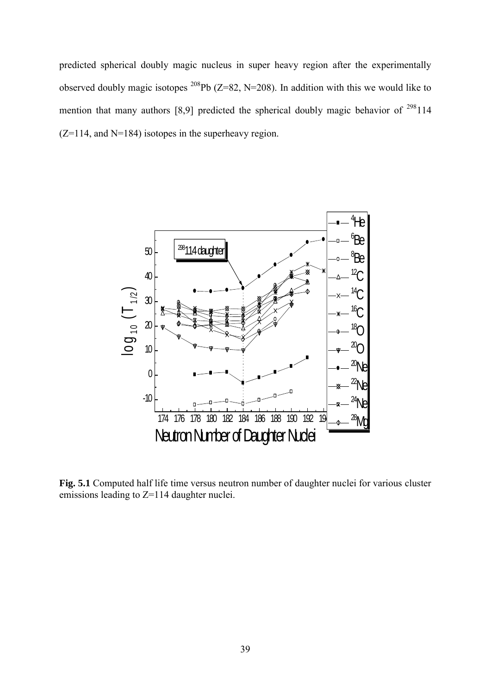predicted spherical doubly magic nucleus in super heavy region after the experimentally observed doubly magic isotopes <sup>208</sup>Pb ( $Z=82$ , N=208). In addition with this we would like to mention that many authors [8,9] predicted the spherical doubly magic behavior of  $298114$  $(Z=114,$  and N=184) isotopes in the superheavy region.



**Fig. 5.1** Computed half life time versus neutron number of daughter nuclei for various cluster emissions leading to Z=114 daughter nuclei.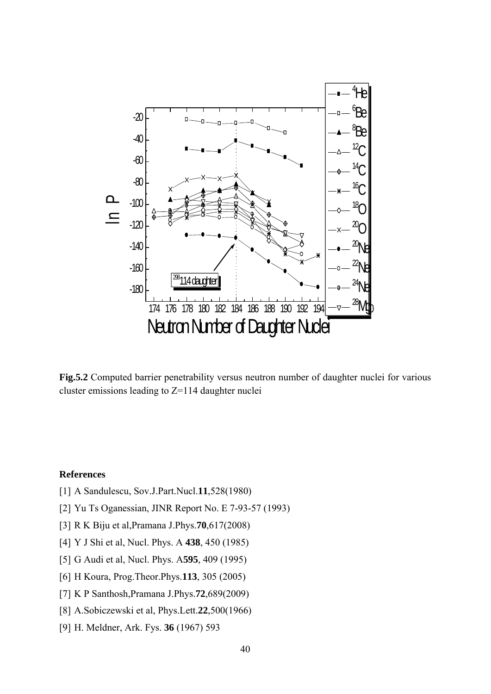

**Fig.5.2** Computed barrier penetrability versus neutron number of daughter nuclei for various cluster emissions leading to  $Z=114$  daughter nuclei

### **References**

- [1] A Sandulescu, Sov.J.Part.Nucl.**11**,528(1980)
- [2] Yu Ts Oganessian, JINR Report No. E 7-93-57 (1993)
- [3] R K Biju et al,Pramana J.Phys.**70**,617(2008)
- [4] Y J Shi et al, Nucl. Phys. A **438**, 450 (1985)
- [5] G Audi et al, Nucl. Phys. A**595**, 409 (1995)
- [6] H Koura, Prog.Theor.Phys.**113**, 305 (2005)
- [7] K P Santhosh,Pramana J.Phys.**72**,689(2009)
- [8] A.Sobiczewski et al, Phys.Lett.**22**,500(1966)
- [9] H. Meldner, Ark. Fys. **36** (1967) 593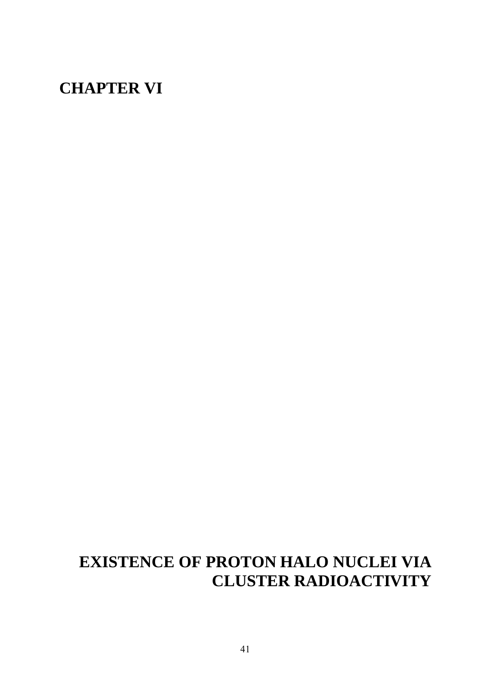### **CHAPTER VI**

## **EXISTENCE OF PROTON HALO NUCLEI VIA CLUSTER RADIOACTIVITY**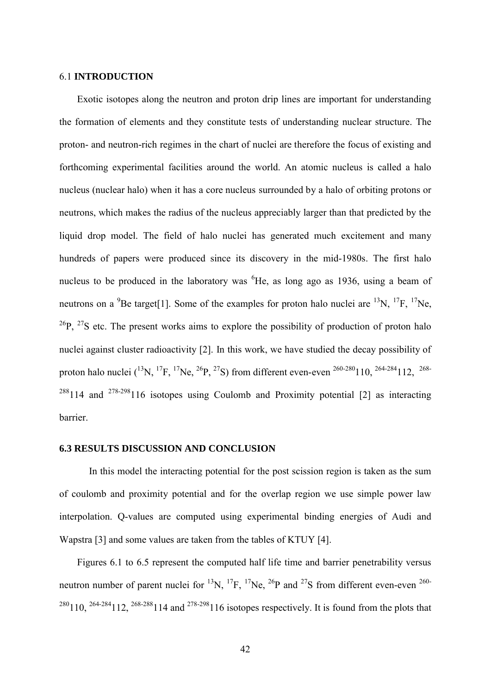### 6.1 **INTRODUCTION**

Exotic isotopes along the neutron and proton drip lines are important for understanding the formation of elements and they constitute tests of understanding nuclear structure. The proton- and neutron-rich regimes in the chart of nuclei are therefore the focus of existing and forthcoming experimental facilities around the world. An atomic nucleus is called a halo nucleus (nuclear halo) when it has a core nucleus surrounded by a halo of orbiting protons or neutrons, which makes the radius of the nucleus appreciably larger than that predicted by the liquid drop model. The field of halo nuclei has generated much excitement and many hundreds of papers were produced since its discovery in the mid-1980s. The first halo nucleus to be produced in the laboratory was  ${}^{6}$ He, as long ago as 1936, using a beam of neutrons on a  ${}^{9}$ Be target[1]. Some of the examples for proton halo nuclei are  ${}^{13}N$ ,  ${}^{17}F$ ,  ${}^{17}Ne$ ,  $^{26}P$ ,  $^{27}S$  etc. The present works aims to explore the possibility of production of proton halo nuclei against cluster radioactivity [2]. In this work, we have studied the decay possibility of proton halo nuclei  $(^{13}N, ^{17}F, ^{17}Ne, ^{26}P, ^{27}S)$  from different even-even  $^{260-280}110, ^{264-284}112, ^{268-280}$  $288114$  and  $278-298116$  isotopes using Coulomb and Proximity potential [2] as interacting barrier.

### **6.3 RESULTS DISCUSSION AND CONCLUSION**

In this model the interacting potential for the post scission region is taken as the sum of coulomb and proximity potential and for the overlap region we use simple power law interpolation. Q-values are computed using experimental binding energies of Audi and Wapstra [3] and some values are taken from the tables of KTUY [4].

Figures 6.1 to 6.5 represent the computed half life time and barrier penetrability versus neutron number of parent nuclei for <sup>13</sup>N, <sup>17</sup>F, <sup>17</sup>Ne, <sup>26</sup>P and <sup>27</sup>S from different even-even <sup>260-</sup> <sup>280</sup>110, <sup>264-284</sup>112, <sup>268-288</sup>114 and <sup>278-298</sup>116 isotopes respectively. It is found from the plots that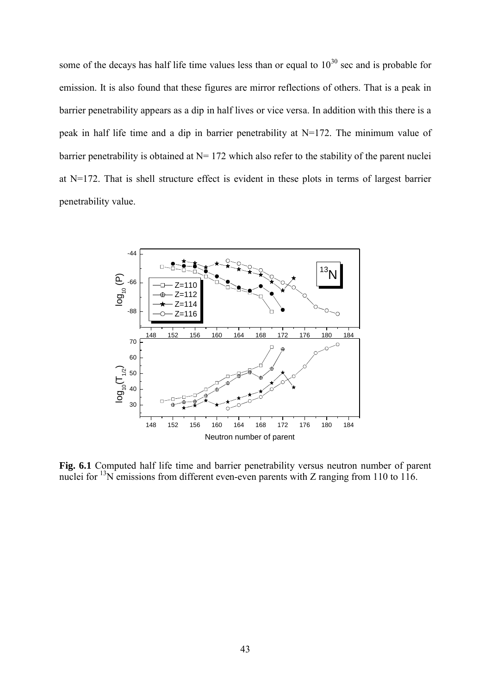some of the decays has half life time values less than or equal to  $10^{30}$  sec and is probable for emission. It is also found that these figures are mirror reflections of others. That is a peak in barrier penetrability appears as a dip in half lives or vice versa. In addition with this there is a peak in half life time and a dip in barrier penetrability at N=172. The minimum value of barrier penetrability is obtained at  $N= 172$  which also refer to the stability of the parent nuclei at N=172. That is shell structure effect is evident in these plots in terms of largest barrier penetrability value.



Fig. 6.1 Computed half life time and barrier penetrability versus neutron number of parent nuclei for  $13N$  emissions from different even-even parents with Z ranging from 110 to 116.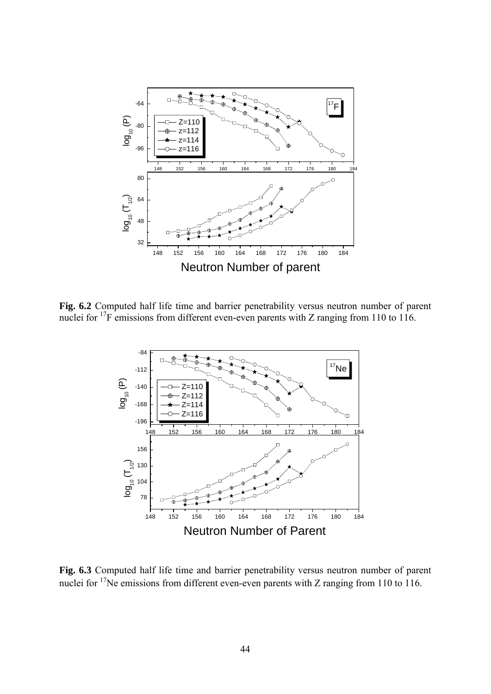

**Fig. 6.2** Computed half life time and barrier penetrability versus neutron number of parent nuclei for <sup>17</sup>F emissions from different even-even parents with Z ranging from 110 to 116.



**Fig. 6.3** Computed half life time and barrier penetrability versus neutron number of parent nuclei for  $17$ Ne emissions from different even-even parents with Z ranging from 110 to 116.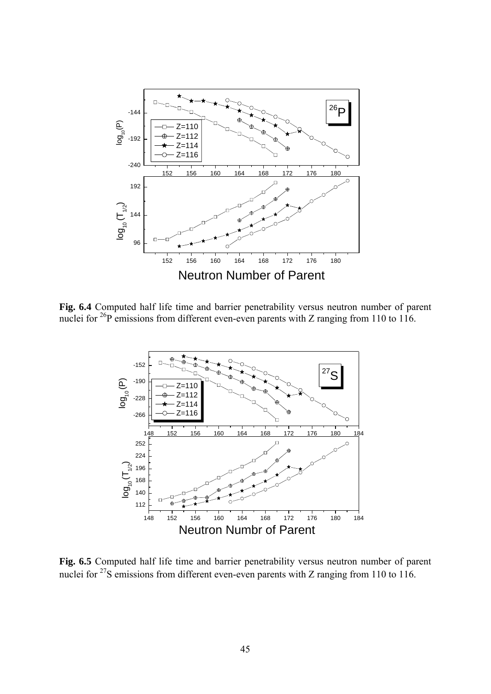

Fig. 6.4 Computed half life time and barrier penetrability versus neutron number of parent nuclei for <sup>26</sup>P emissions from different even-even parents with Z ranging from 110 to 116.



**Fig. 6.5** Computed half life time and barrier penetrability versus neutron number of parent nuclei for  $27$ S emissions from different even-even parents with Z ranging from 110 to 116.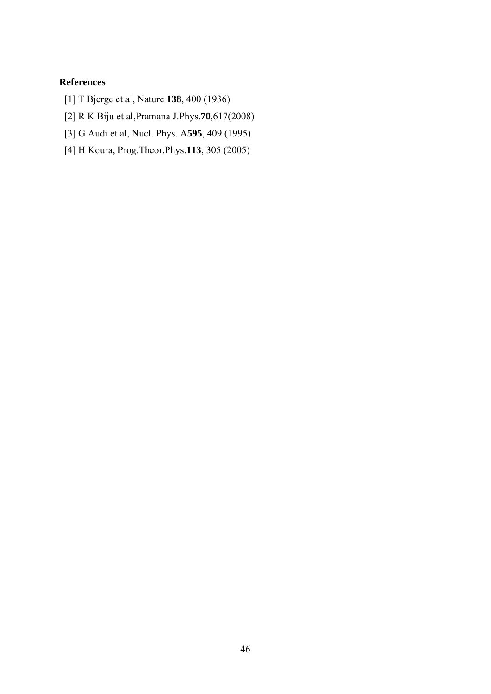### **References**

- [1] T Bjerge et al, Nature **138**, 400 (1936)
- [2] R K Biju et al,Pramana J.Phys.**70**,617(2008)
- [3] G Audi et al, Nucl. Phys. A**595**, 409 (1995)
- [4] H Koura, Prog.Theor.Phys.**113**, 305 (2005)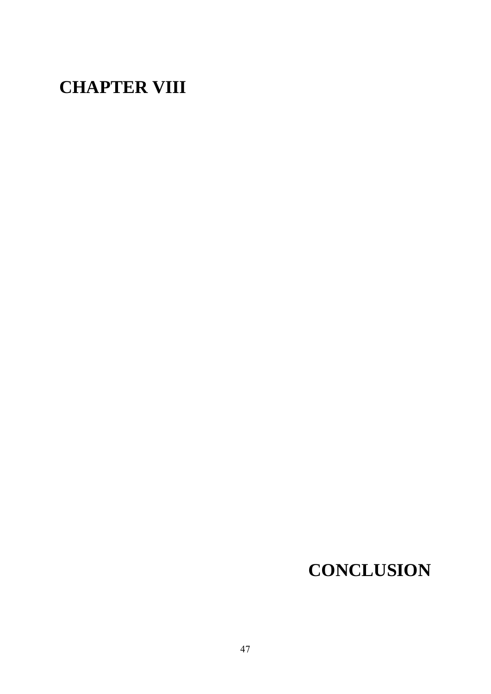## **CHAPTER VIII**

## **CONCLUSION**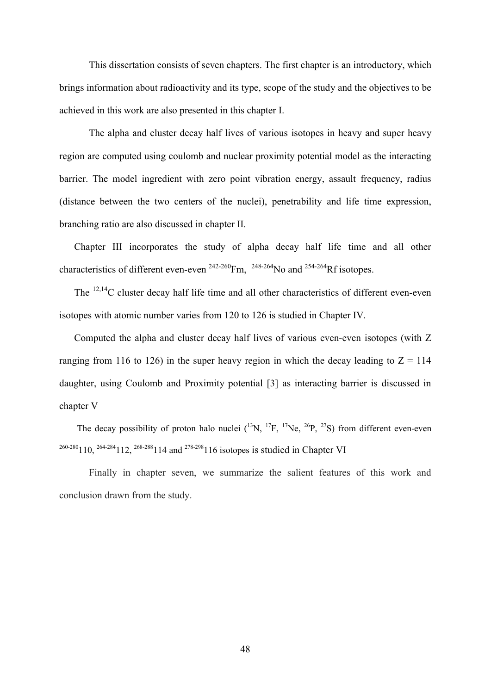This dissertation consists of seven chapters. The first chapter is an introductory, which brings information about radioactivity and its type, scope of the study and the objectives to be achieved in this work are also presented in this chapter I.

The alpha and cluster decay half lives of various isotopes in heavy and super heavy region are computed using coulomb and nuclear proximity potential model as the interacting barrier. The model ingredient with zero point vibration energy, assault frequency, radius (distance between the two centers of the nuclei), penetrability and life time expression, branching ratio are also discussed in chapter II.

Chapter III incorporates the study of alpha decay half life time and all other characteristics of different even-even  $^{242-260}$ Fm,  $^{248-264}$ No and  $^{254-264}$ Rf isotopes.

The  $^{12,14}$ C cluster decay half life time and all other characteristics of different even-even isotopes with atomic number varies from 120 to 126 is studied in Chapter IV.

Computed the alpha and cluster decay half lives of various even-even isotopes (with Z ranging from 116 to 126) in the super heavy region in which the decay leading to  $Z = 114$ daughter, using Coulomb and Proximity potential [3] as interacting barrier is discussed in chapter V

The decay possibility of proton halo nuclei  $(^{13}N, ^{17}F, ^{17}Ne, ^{26}P, ^{27}S)$  from different even-even 260-280110, 264-284112, 268-288114 and 278-298116 isotopes is studied in Chapter VI

Finally in chapter seven, we summarize the salient features of this work and conclusion drawn from the study.

48